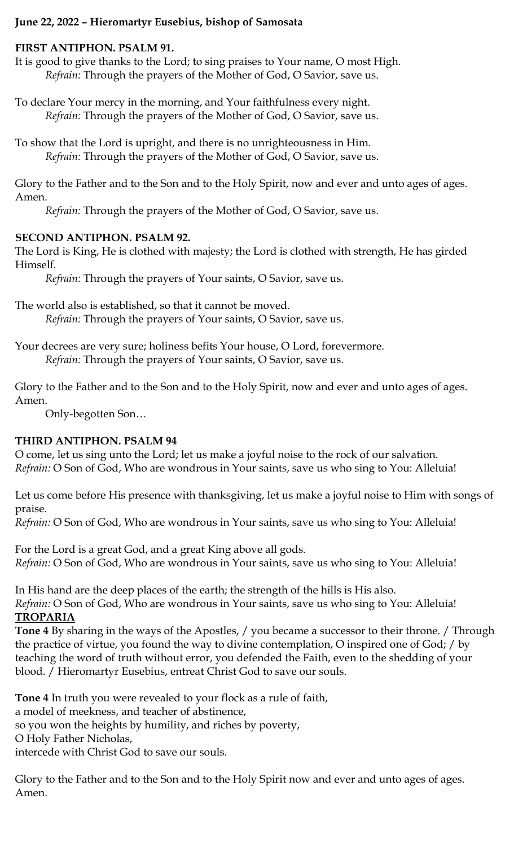# **June 22, 2022 – Hieromartyr Eusebius, bishop of Samosata**

## **FIRST ANTIPHON. PSALM 91.**

It is good to give thanks to the Lord; to sing praises to Your name, O most High. *Refrain:* Through the prayers of the Mother of God, O Savior, save us.

To declare Your mercy in the morning, and Your faithfulness every night. *Refrain:* Through the prayers of the Mother of God, O Savior, save us.

To show that the Lord is upright, and there is no unrighteousness in Him. *Refrain:* Through the prayers of the Mother of God, O Savior, save us.

Glory to the Father and to the Son and to the Holy Spirit, now and ever and unto ages of ages. Amen.

*Refrain:* Through the prayers of the Mother of God, O Savior, save us.

## **SECOND ANTIPHON. PSALM 92.**

The Lord is King, He is clothed with majesty; the Lord is clothed with strength, He has girded Himself.

*Refrain:* Through the prayers of Your saints, O Savior, save us.

The world also is established, so that it cannot be moved.

*Refrain:* Through the prayers of Your saints, O Savior, save us.

Your decrees are very sure; holiness befits Your house, O Lord, forevermore. *Refrain:* Through the prayers of Your saints, O Savior, save us.

Glory to the Father and to the Son and to the Holy Spirit, now and ever and unto ages of ages. Amen.

Only-begotten Son…

# **THIRD ANTIPHON. PSALM 94**

O come, let us sing unto the Lord; let us make a joyful noise to the rock of our salvation. *Refrain:* O Son of God, Who are wondrous in Your saints, save us who sing to You: Alleluia!

Let us come before His presence with thanksgiving, let us make a joyful noise to Him with songs of praise.

*Refrain:* O Son of God, Who are wondrous in Your saints, save us who sing to You: Alleluia!

For the Lord is a great God, and a great King above all gods. *Refrain:* O Son of God, Who are wondrous in Your saints, save us who sing to You: Alleluia!

In His hand are the deep places of the earth; the strength of the hills is His also.

*Refrain:* O Son of God, Who are wondrous in Your saints, save us who sing to You: Alleluia! **TROPARIA**

**Tone 4** By sharing in the ways of the Apostles, / you became a successor to their throne. / Through the practice of virtue, you found the way to divine contemplation, O inspired one of God; / by teaching the word of truth without error, you defended the Faith, even to the shedding of your blood. / Hieromartyr Eusebius, entreat Christ God to save our souls.

**Tone 4** In truth you were revealed to your flock as a rule of faith, a model of meekness, and teacher of abstinence, so you won the heights by humility, and riches by poverty, O Holy Father Nicholas, intercede with Christ God to save our souls.

Glory to the Father and to the Son and to the Holy Spirit now and ever and unto ages of ages. Amen.